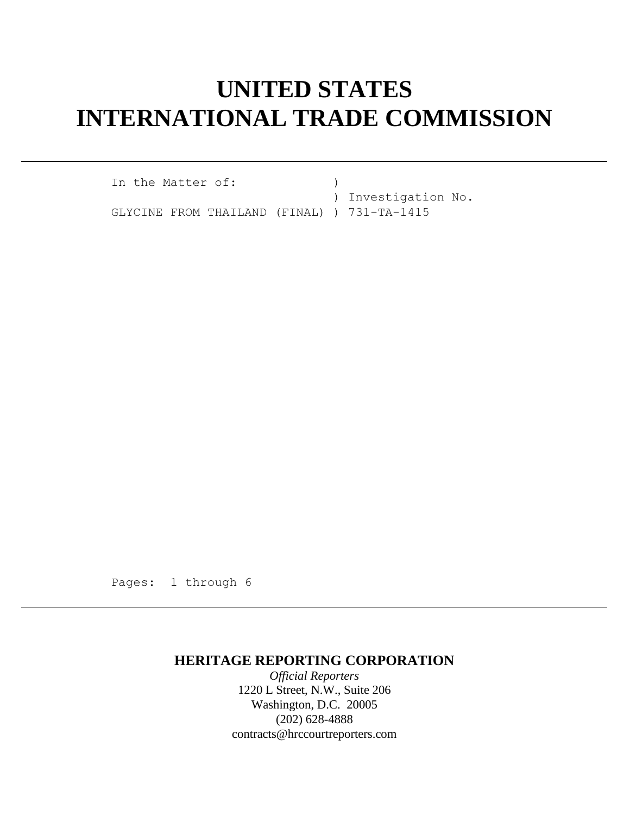# **UNITED STATES INTERNATIONAL TRADE COMMISSION**

In the Matter of: (1) ) Investigation No. GLYCINE FROM THAILAND (FINAL) ) 731-TA-1415

Pages: 1 through 6

## **HERITAGE REPORTING CORPORATION**

*Official Reporters* 1220 L Street, N.W., Suite 206 Washington, D.C. 20005 (202) 628-4888 contracts@hrccourtreporters.com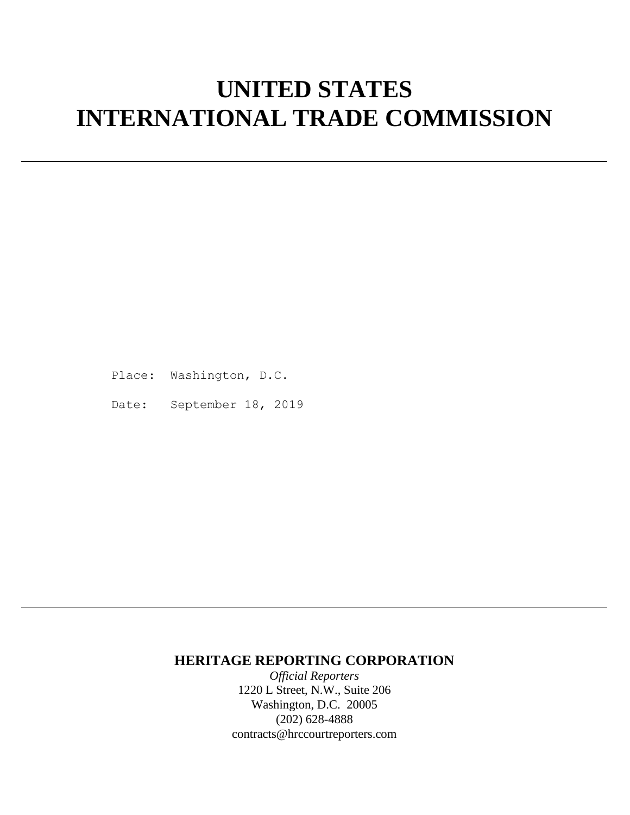# **UNITED STATES INTERNATIONAL TRADE COMMISSION**

Place: Washington, D.C.

Date: September 18, 2019

### **HERITAGE REPORTING CORPORATION**

*Official Reporters* 1220 L Street, N.W., Suite 206 Washington, D.C. 20005 (202) 628-4888 contracts@hrccourtreporters.com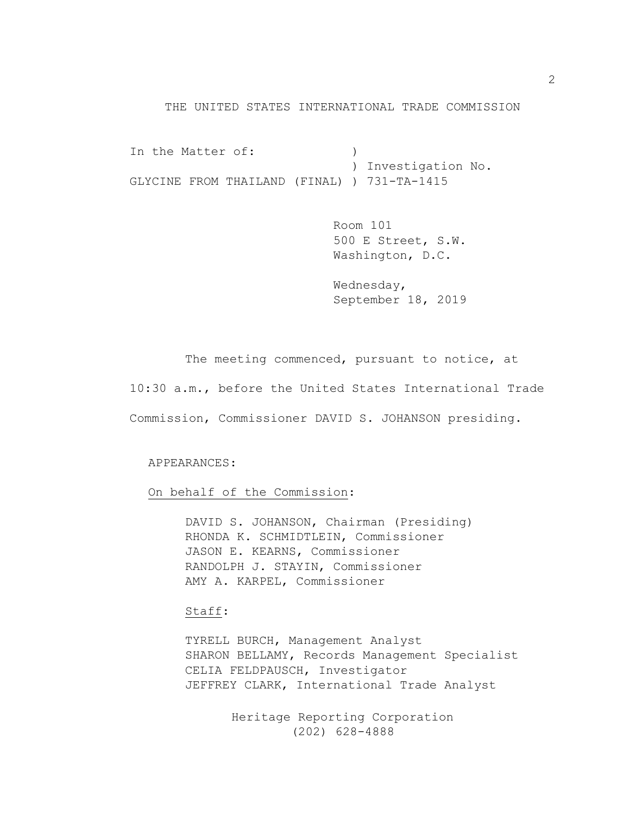#### THE UNITED STATES INTERNATIONAL TRADE COMMISSION

In the Matter of: (1) ) Investigation No. GLYCINE FROM THAILAND (FINAL) ) 731-TA-1415

> Room 101 500 E Street, S.W. Washington, D.C.

> Wednesday, September 18, 2019

The meeting commenced, pursuant to notice, at 10:30 a.m., before the United States International Trade Commission, Commissioner DAVID S. JOHANSON presiding.

APPEARANCES:

On behalf of the Commission:

DAVID S. JOHANSON, Chairman (Presiding) RHONDA K. SCHMIDTLEIN, Commissioner JASON E. KEARNS, Commissioner RANDOLPH J. STAYIN, Commissioner AMY A. KARPEL, Commissioner

### Staff:

TYRELL BURCH, Management Analyst SHARON BELLAMY, Records Management Specialist CELIA FELDPAUSCH, Investigator JEFFREY CLARK, International Trade Analyst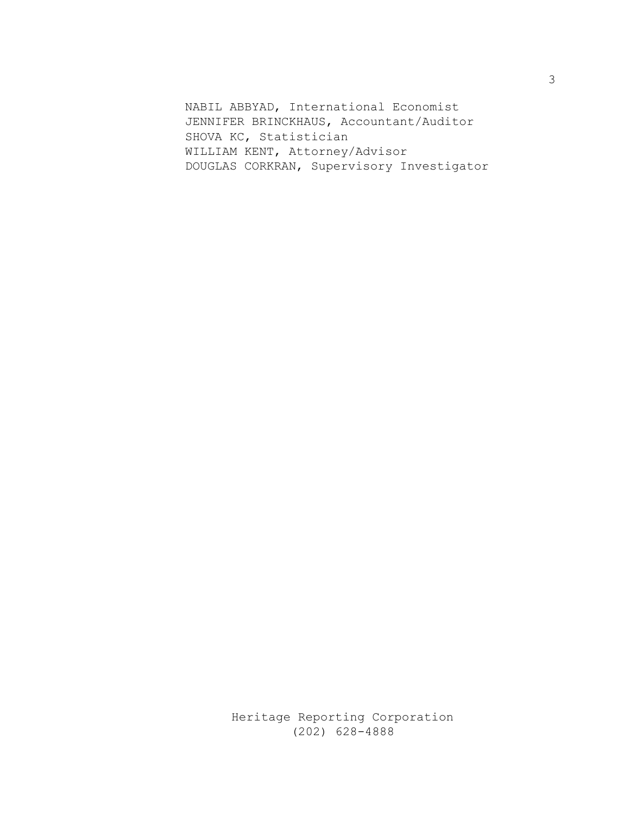NABIL ABBYAD, International Economist JENNIFER BRINCKHAUS, Accountant/Auditor SHOVA KC, Statistician WILLIAM KENT, Attorney/Advisor DOUGLAS CORKRAN, Supervisory Investigator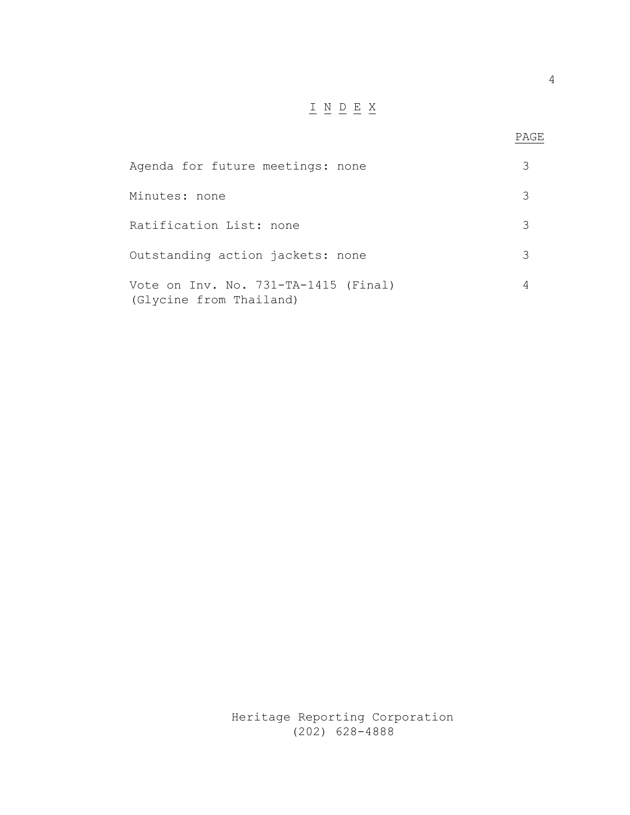## $\underline{\texttt{I}} \underline{\texttt{N}} \underline{\texttt{D}} \underline{\texttt{E}} \underline{\texttt{X}}$

| Agenda for future meetings: none                                |   |
|-----------------------------------------------------------------|---|
| Minutes: none                                                   | 3 |
| Ratification List: none                                         |   |
| Outstanding action jackets: none                                |   |
| Vote on Inv. No. 731-TA-1415 (Final)<br>(Glycine from Thailand) |   |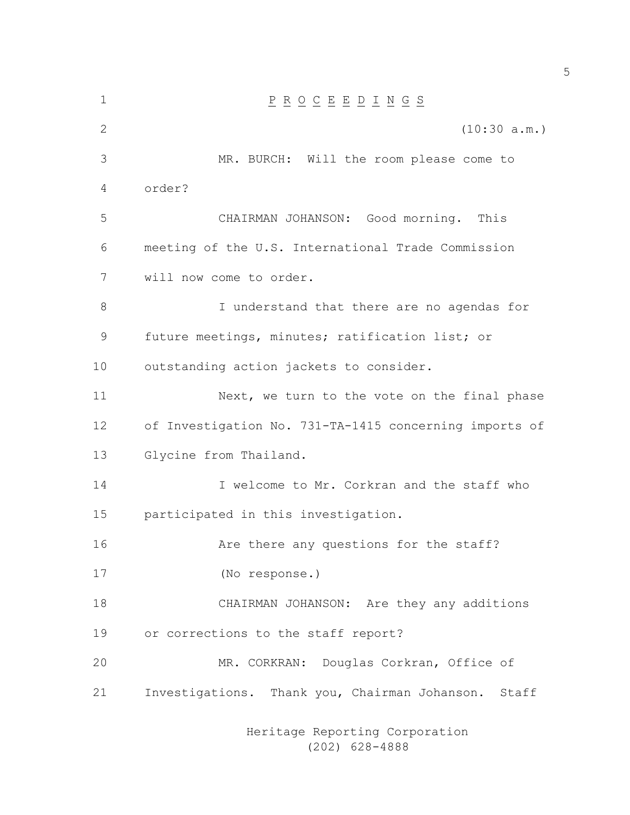| 1            | $\underline{P} \underline{R} \underline{O} \underline{C} \underline{E} \underline{E} \underline{D} \underline{I} \underline{N} \underline{G} \underline{S}$ |
|--------------|-------------------------------------------------------------------------------------------------------------------------------------------------------------|
| $\mathbf{2}$ | (10:30 a.m.)                                                                                                                                                |
| 3            | MR. BURCH: Will the room please come to                                                                                                                     |
| 4            | order?                                                                                                                                                      |
| 5            | CHAIRMAN JOHANSON: Good morning. This                                                                                                                       |
| 6            | meeting of the U.S. International Trade Commission                                                                                                          |
| 7            | will now come to order.                                                                                                                                     |
| 8            | I understand that there are no agendas for                                                                                                                  |
| 9            | future meetings, minutes; ratification list; or                                                                                                             |
| 10           | outstanding action jackets to consider.                                                                                                                     |
| 11           | Next, we turn to the vote on the final phase                                                                                                                |
| 12           | of Investigation No. 731-TA-1415 concerning imports of                                                                                                      |
| 13           | Glycine from Thailand.                                                                                                                                      |
| 14           | I welcome to Mr. Corkran and the staff who                                                                                                                  |
| 15           | participated in this investigation.                                                                                                                         |
| 16           | Are there any questions for the staff?                                                                                                                      |
| 17           | (No response.)                                                                                                                                              |
| 18           | CHAIRMAN JOHANSON: Are they any additions                                                                                                                   |
| 19           | or corrections to the staff report?                                                                                                                         |
| 20           | MR. CORKRAN: Douglas Corkran, Office of                                                                                                                     |
| 21           | Investigations. Thank you, Chairman Johanson.<br>Staff                                                                                                      |
|              |                                                                                                                                                             |

Heritage Reporting Corporation (202) 628-4888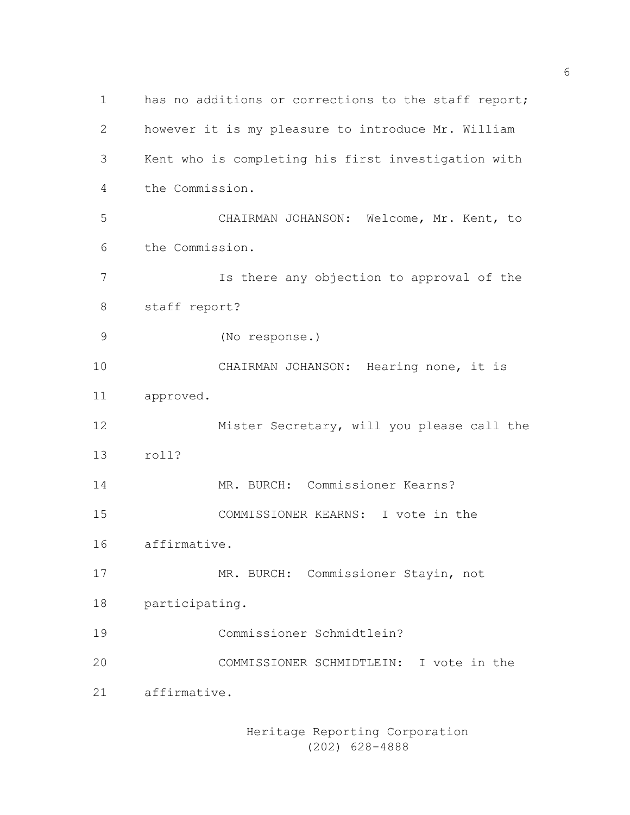1 has no additions or corrections to the staff report; however it is my pleasure to introduce Mr. William Kent who is completing his first investigation with the Commission. CHAIRMAN JOHANSON: Welcome, Mr. Kent, to the Commission. Is there any objection to approval of the staff report? (No response.) CHAIRMAN JOHANSON: Hearing none, it is approved. Mister Secretary, will you please call the roll? MR. BURCH: Commissioner Kearns? COMMISSIONER KEARNS: I vote in the affirmative. MR. BURCH: Commissioner Stayin, not participating. Commissioner Schmidtlein? COMMISSIONER SCHMIDTLEIN: I vote in the affirmative.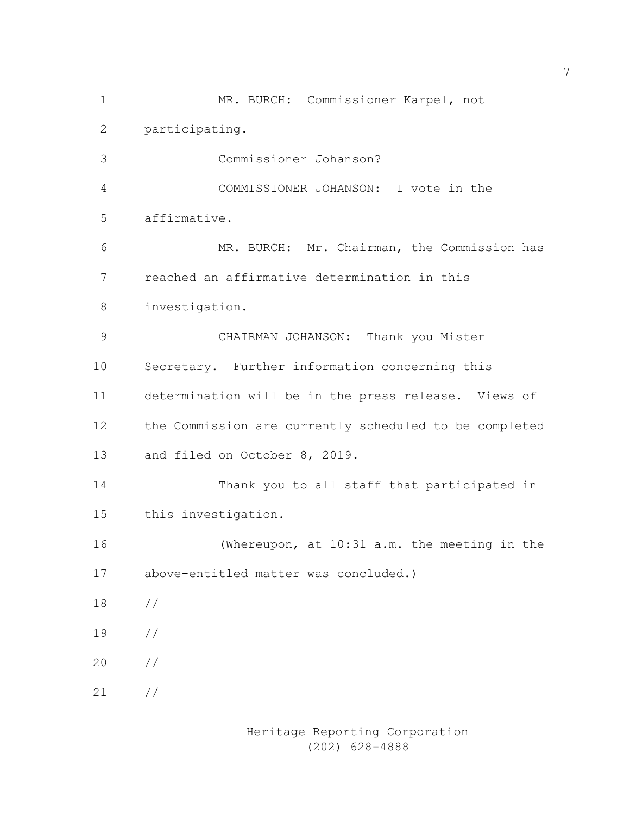MR. BURCH: Commissioner Karpel, not participating. Commissioner Johanson? COMMISSIONER JOHANSON: I vote in the affirmative. MR. BURCH: Mr. Chairman, the Commission has reached an affirmative determination in this investigation. CHAIRMAN JOHANSON: Thank you Mister Secretary. Further information concerning this determination will be in the press release. Views of the Commission are currently scheduled to be completed and filed on October 8, 2019. Thank you to all staff that participated in this investigation. (Whereupon, at 10:31 a.m. the meeting in the above-entitled matter was concluded.) // // // //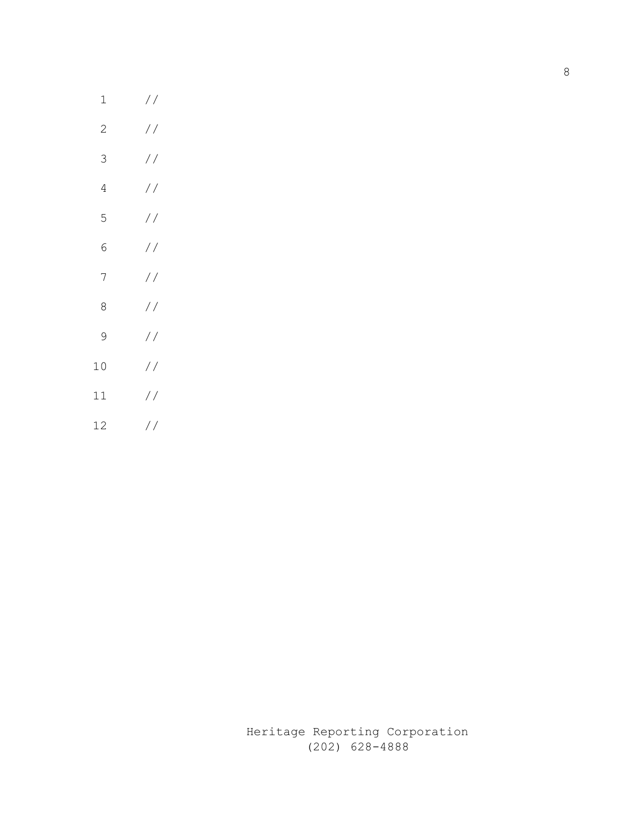| 1            | $\frac{1}{2}$ |
|--------------|---------------|
| $\mathbf{2}$ | $\frac{1}{2}$ |
| 3            | $\frac{1}{2}$ |
| 4            | $\frac{1}{2}$ |
| 5            | $\frac{1}{2}$ |
| 6            | $\frac{1}{2}$ |
| 7            | $\frac{1}{2}$ |
| 8            | $\frac{1}{2}$ |
| 9            | $\frac{1}{2}$ |
| 10           | $\frac{1}{2}$ |
| 11           | $\frac{1}{2}$ |
| 12           | $\frac{1}{2}$ |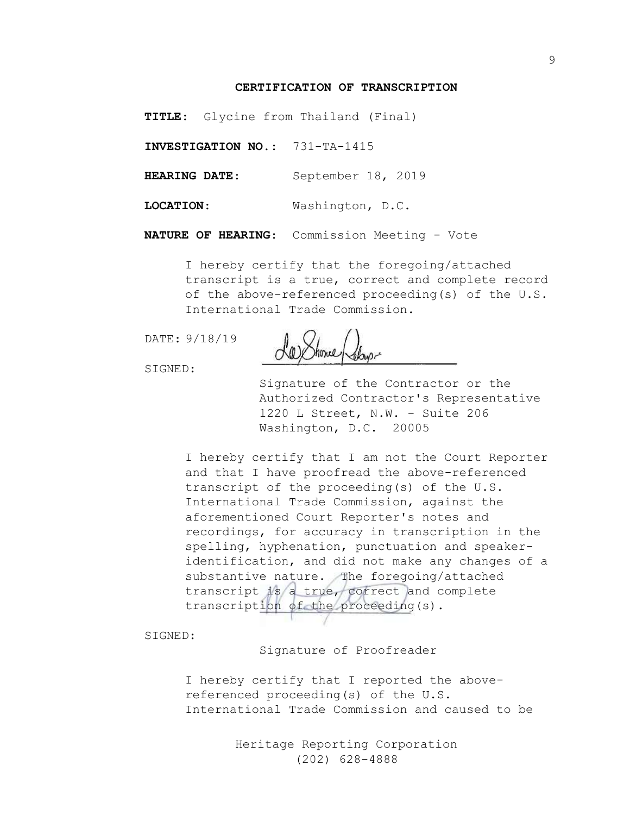#### **CERTIFICATION OF TRANSCRIPTION**

**TITLE**: Glycine from Thailand (Final)

**INVESTIGATION NO.**: 731-TA-1415

**HEARING DATE**: September 18, 2019

**LOCATION**: Washington, D.C.

**NATURE OF HEARING**: Commission Meeting - Vote

I hereby certify that the foregoing/attached transcript is a true, correct and complete record of the above-referenced proceeding(s) of the U.S. International Trade Commission.

DATE: 9/18/19

SIGNED:

Signature of the Contractor or the Authorized Contractor's Representative 1220 L Street, N.W. - Suite 206 Washington, D.C. 20005

I hereby certify that I am not the Court Reporter and that I have proofread the above-referenced transcript of the proceeding(s) of the U.S. International Trade Commission, against the aforementioned Court Reporter's notes and recordings, for accuracy in transcription in the spelling, hyphenation, punctuation and speakeridentification, and did not make any changes of a substantive nature. The foregoing/attached transcript is a true, correct and complete transcription of the proceeding(s).

SIGNED:

Signature of Proofreader

I hereby certify that I reported the abovereferenced proceeding(s) of the U.S. International Trade Commission and caused to be